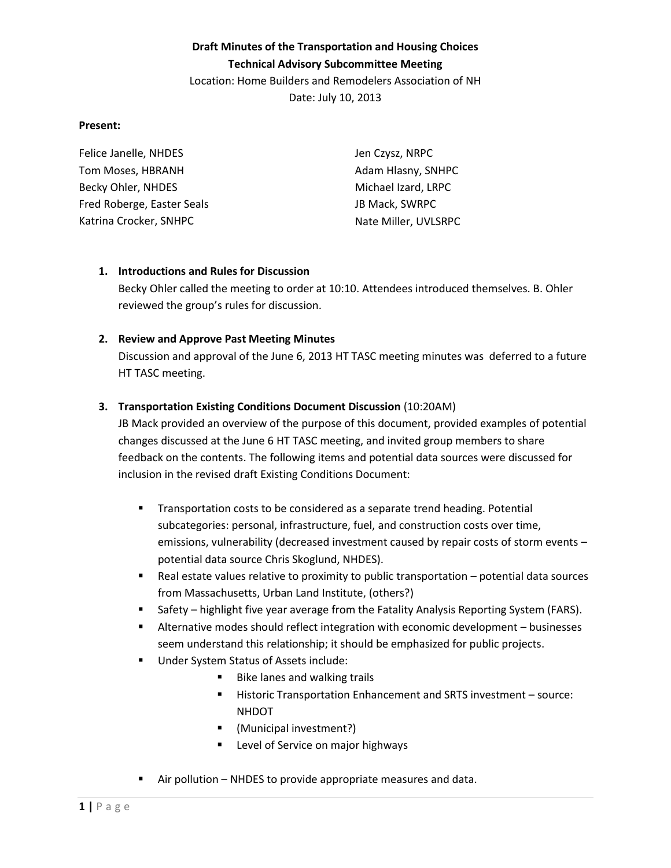## **Draft Minutes of the Transportation and Housing Choices Technical Advisory Subcommittee Meeting**

Location: Home Builders and Remodelers Association of NH

Date: July 10, 2013

#### **Present:**

| Felice Janelle, NHDES      | Jen Czysz, NRPC      |
|----------------------------|----------------------|
| Tom Moses, HBRANH          | Adam Hlasny, SNHPC   |
| Becky Ohler, NHDES         | Michael Izard, LRPC  |
| Fred Roberge, Easter Seals | JB Mack, SWRPC       |
| Katrina Crocker, SNHPC     | Nate Miller, UVLSRPC |

#### **1. Introductions and Rules for Discussion**

Becky Ohler called the meeting to order at 10:10. Attendees introduced themselves. B. Ohler reviewed the group's rules for discussion.

#### **2. Review and Approve Past Meeting Minutes**

Discussion and approval of the June 6, 2013 HT TASC meeting minutes was deferred to a future HT TASC meeting.

#### **3. Transportation Existing Conditions Document Discussion** (10:20AM)

JB Mack provided an overview of the purpose of this document, provided examples of potential changes discussed at the June 6 HT TASC meeting, and invited group members to share feedback on the contents. The following items and potential data sources were discussed for inclusion in the revised draft Existing Conditions Document:

- Transportation costs to be considered as a separate trend heading. Potential subcategories: personal, infrastructure, fuel, and construction costs over time, emissions, vulnerability (decreased investment caused by repair costs of storm events – potential data source Chris Skoglund, NHDES).
- Real estate values relative to proximity to public transportation potential data sources from Massachusetts, Urban Land Institute, (others?)
- **Safety highlight five year average from the Fatality Analysis Reporting System (FARS).**
- Alternative modes should reflect integration with economic development businesses seem understand this relationship; it should be emphasized for public projects.
- **Under System Status of Assets include:** 
	- **Bike lanes and walking trails**
	- Historic Transportation Enhancement and SRTS investment source: NHDOT
	- (Municipal investment?)
	- **EXECTE:** Level of Service on major highways
- Air pollution NHDES to provide appropriate measures and data.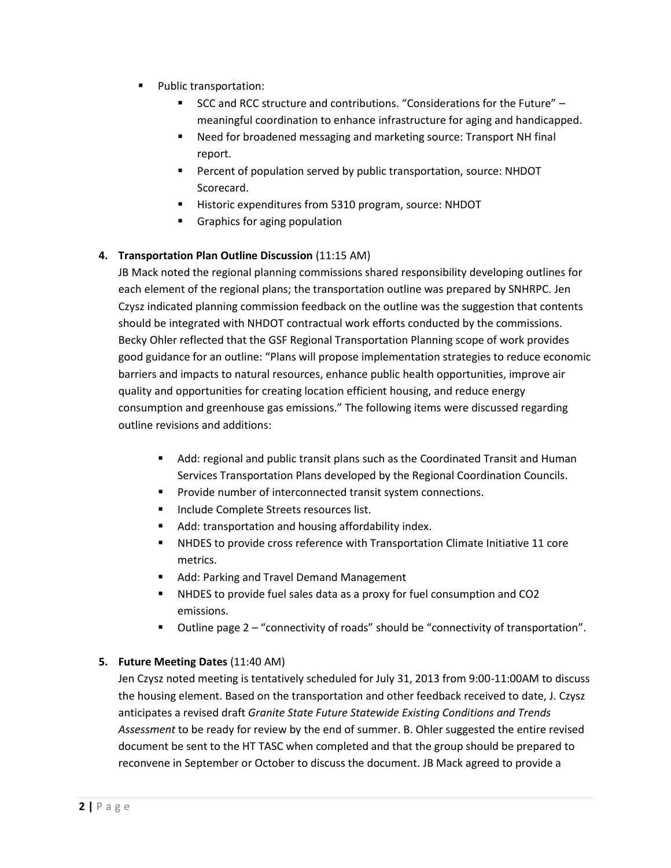- **Public transportation:** 
	- SCC and RCC structure and contributions. "Considerations for the Future" meaningful coordination to enhance infrastructure for aging and handicapped.
	- Need for broadened messaging and marketing source: Transport NH final report.
	- **Percent of population served by public transportation, source: NHDOT** Scorecard.
	- Historic expenditures from 5310 program, source: NHDOT
	- Graphics for aging population

## **4. Transportation Plan Outline Discussion** (11:15 AM)

JB Mack noted the regional planning commissions shared responsibility developing outlines for each element of the regional plans; the transportation outline was prepared by SNHRPC. Jen Czysz indicated planning commission feedback on the outline was the suggestion that contents should be integrated with NHDOT contractual work efforts conducted by the commissions. Becky Ohler reflected that the GSF Regional Transportation Planning scope of work provides good guidance for an outline: "Plans will propose implementation strategies to reduce economic barriers and impacts to natural resources, enhance public health opportunities, improve air quality and opportunities for creating location efficient housing, and reduce energy consumption and greenhouse gas emissions." The following items were discussed regarding outline revisions and additions:

- Add: regional and public transit plans such as the Coordinated Transit and Human Services Transportation Plans developed by the Regional Coordination Councils.
- **Provide number of interconnected transit system connections.**
- Include Complete Streets resources list.
- Add: transportation and housing affordability index.
- NHDES to provide cross reference with Transportation Climate Initiative 11 core metrics.
- Add: Parking and Travel Demand Management
- NHDES to provide fuel sales data as a proxy for fuel consumption and CO2 emissions.
- Outline page 2 "connectivity of roads" should be "connectivity of transportation".

## **5. Future Meeting Dates** (11:40 AM)

Jen Czysz noted meeting is tentatively scheduled for July 31, 2013 from 9:00-11:00AM to discuss the housing element. Based on the transportation and other feedback received to date, J. Czysz anticipates a revised draft *Granite State Future Statewide Existing Conditions and Trends Assessment* to be ready for review by the end of summer. B. Ohler suggested the entire revised document be sent to the HT TASC when completed and that the group should be prepared to reconvene in September or October to discuss the document. JB Mack agreed to provide a